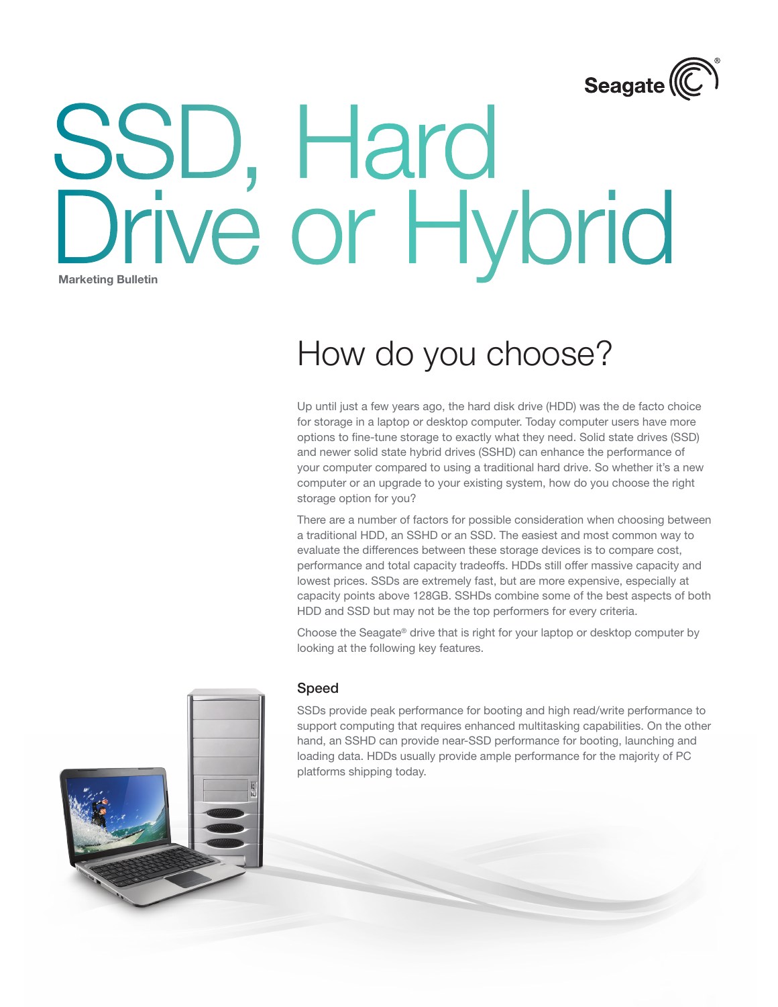

# Marketing Bulletin SSD, Hard Drive or Hybrid

## How do you choose?

Up until just a few years ago, the hard disk drive (HDD) was the de facto choice for storage in a laptop or desktop computer. Today computer users have more options to fine-tune storage to exactly what they need. Solid state drives (SSD) and newer solid state hybrid drives (SSHD) can enhance the performance of your computer compared to using a traditional hard drive. So whether it's a new computer or an upgrade to your existing system, how do you choose the right storage option for you?

There are a number of factors for possible consideration when choosing between a traditional HDD, an SSHD or an SSD. The easiest and most common way to evaluate the differences between these storage devices is to compare cost, performance and total capacity tradeoffs. HDDs still offer massive capacity and lowest prices. SSDs are extremely fast, but are more expensive, especially at capacity points above 128GB. SSHDs combine some of the best aspects of both HDD and SSD but may not be the top performers for every criteria.

Choose the Seagate® drive that is right for your laptop or desktop computer by looking at the following key features.

#### Speed

SSDs provide peak performance for booting and high read/write performance to support computing that requires enhanced multitasking capabilities. On the other hand, an SSHD can provide near-SSD performance for booting, launching and loading data. HDDs usually provide ample performance for the majority of PC platforms shipping today.